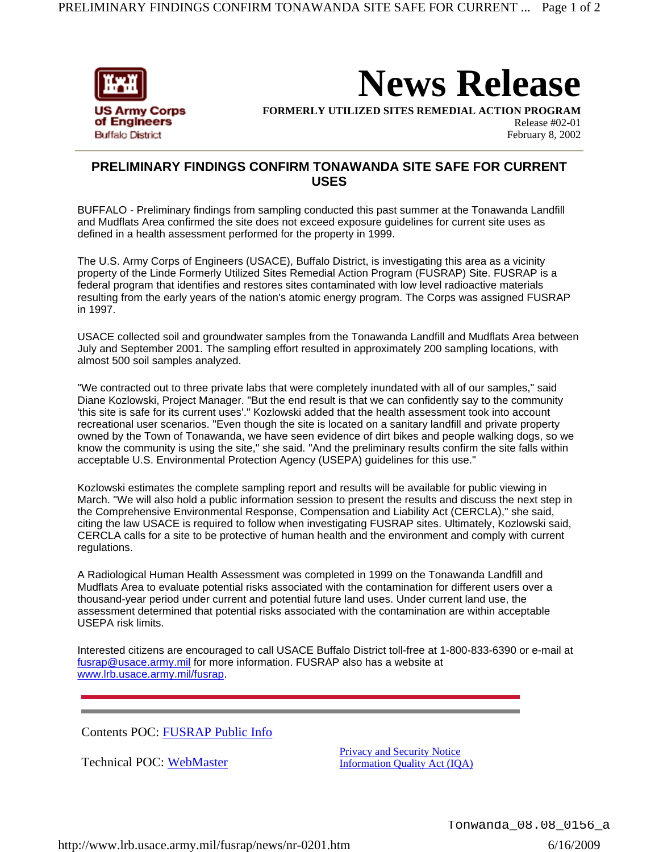

**News Release**

**FORMERLY UTILIZED SITES REMEDIAL ACTION PROGRAM**

Release #02-01 February 8, 2002

## **PRELIMINARY FINDINGS CONFIRM TONAWANDA SITE SAFE FOR CURRENT USES**

BUFFALO - Preliminary findings from sampling conducted this past summer at the Tonawanda Landfill and Mudflats Area confirmed the site does not exceed exposure guidelines for current site uses as defined in a health assessment performed for the property in 1999.

The U.S. Army Corps of Engineers (USACE), Buffalo District, is investigating this area as a vicinity property of the Linde Formerly Utilized Sites Remedial Action Program (FUSRAP) Site. FUSRAP is a federal program that identifies and restores sites contaminated with low level radioactive materials resulting from the early years of the nation's atomic energy program. The Corps was assigned FUSRAP in 1997.

USACE collected soil and groundwater samples from the Tonawanda Landfill and Mudflats Area between July and September 2001. The sampling effort resulted in approximately 200 sampling locations, with almost 500 soil samples analyzed.

"We contracted out to three private labs that were completely inundated with all of our samples," said Diane Kozlowski, Project Manager. "But the end result is that we can confidently say to the community 'this site is safe for its current uses'." Kozlowski added that the health assessment took into account recreational user scenarios. "Even though the site is located on a sanitary landfill and private property owned by the Town of Tonawanda, we have seen evidence of dirt bikes and people walking dogs, so we know the community is using the site," she said. "And the preliminary results confirm the site falls within acceptable U.S. Environmental Protection Agency (USEPA) guidelines for this use."

Kozlowski estimates the complete sampling report and results will be available for public viewing in March. "We will also hold a public information session to present the results and discuss the next step in the Comprehensive Environmental Response, Compensation and Liability Act (CERCLA)," she said, citing the law USACE is required to follow when investigating FUSRAP sites. Ultimately, Kozlowski said, CERCLA calls for a site to be protective of human health and the environment and comply with current regulations.

A Radiological Human Health Assessment was completed in 1999 on the Tonawanda Landfill and Mudflats Area to evaluate potential risks associated with the contamination for different users over a thousand-year period under current and potential future land uses. Under current land use, the assessment determined that potential risks associated with the contamination are within acceptable USEPA risk limits.

Interested citizens are encouraged to call USACE Buffalo District toll-free at 1-800-833-6390 or e-mail at fusrap@usace.army.mil for more information. FUSRAP also has a website at www.lrb.usace.army.mil/fusrap.

Contents POC: FUSRAP Public Info

Technical POC: WebMaster

Privacy and Security Notice Information Quality Act (IQA)